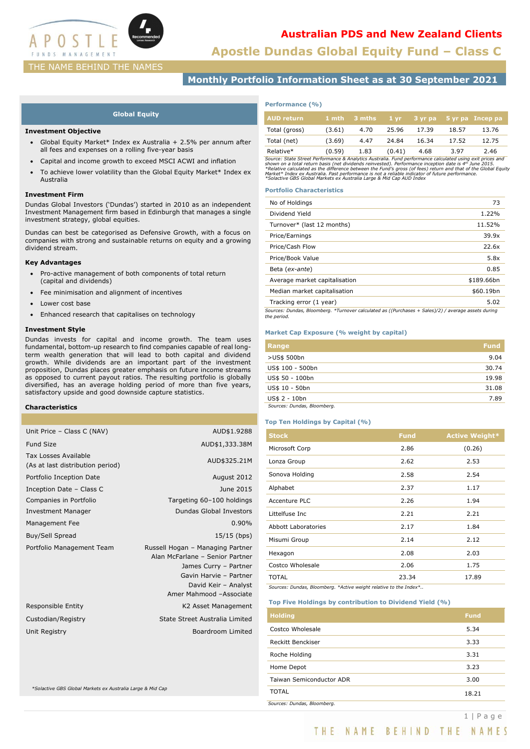

# **Australian PDS and New Zealand Clients**

**Apostle Dundas Global Equity Fund – Class C**

# THE NAME BEHIND THE NAMES

# **Monthly Portfolio Information Sheet as at 30 September 2021**

## **Global Equity**

### **Investment Objective**

- Global Equity Market\* Index ex Australia + 2.5% per annum after all fees and expenses on a rolling five-year basis
- Capital and income growth to exceed MSCI ACWI and inflation
- To achieve lower volatility than the Global Equity Market\* Index ex Australia

### **Investment Firm**

Dundas Global Investors ('Dundas') started in 2010 as an independent Investment Management firm based in Edinburgh that manages a single investment strategy, global equities.

Dundas can best be categorised as Defensive Growth, with a focus on companies with strong and sustainable returns on equity and a growing dividend stream.

## **Key Advantages**

- Pro-active management of both components of total return (capital and dividends)
- Fee minimisation and alignment of incentives
- Lower cost base
- Enhanced research that capitalises on technology

## **Investment Style**

Dundas invests for capital and income growth. The team uses fundamental, bottom-up research to find companies capable of real longterm wealth generation that will lead to both capital and dividend growth. While dividends are an important part of the investment proposition, Dundas places greater emphasis on future income streams as opposed to current payout ratios. The resulting portfolio is globally diversified, has an average holding period of more than five years, satisfactory upside and good downside capture statistics.

## **Characteristics**

| Unit Price - Class C (NAV)                                      | AUD\$1.9288                                                                                                                                                               |
|-----------------------------------------------------------------|---------------------------------------------------------------------------------------------------------------------------------------------------------------------------|
| <b>Fund Size</b>                                                | AUD\$1,333.38M                                                                                                                                                            |
| <b>Tax Losses Available</b><br>(As at last distribution period) | AUD\$325.21M                                                                                                                                                              |
| Portfolio Inception Date                                        | August 2012                                                                                                                                                               |
| Inception Date - Class C                                        | June 2015                                                                                                                                                                 |
| Companies in Portfolio                                          | Targeting 60-100 holdings                                                                                                                                                 |
| <b>Investment Manager</b>                                       | <b>Dundas Global Investors</b>                                                                                                                                            |
| Management Fee                                                  | 0.90%                                                                                                                                                                     |
| Buy/Sell Spread                                                 | $15/15$ (bps)                                                                                                                                                             |
| Portfolio Management Team                                       | Russell Hogan - Managing Partner<br>Alan McFarlane - Senior Partner<br>James Curry - Partner<br>Gavin Harvie - Partner<br>David Keir - Analyst<br>Amer Mahmood -Associate |
| Responsible Entity                                              | K2 Asset Management                                                                                                                                                       |
| Custodian/Registry                                              | State Street Australia Limited                                                                                                                                            |
| Unit Registry                                                   | Boardroom Limited                                                                                                                                                         |
|                                                                 |                                                                                                                                                                           |

*\*Solactive GBS Global Markets ex Australia Large & Mid Cap* 

# **Performance (%)**

| <b>AUD</b> return |        | $1$ mth $3$ mths | $1 \, \mathrm{vr}$ |       |       | 3 yr pa 5 yr pa Incep pa |
|-------------------|--------|------------------|--------------------|-------|-------|--------------------------|
| Total (gross)     | (3.61) | 4.70             | 25.96              | 17.39 | 18.57 | 13.76                    |
| Total (net)       | (3.69) | 4.47             | 24.84              | 16.34 | 17.52 | 12.75                    |
| Relative*         | (0.59) | 1.83             | (0.41)             | 4.68  | 3.97  | 2.46                     |

Relative\*  $(0.59)$  1.83  $(0.41)$  4.68 3.97 2.46<br>
Source: State Street Performance & Analytics Australia. Fund performance calculated using exit prices and<br>
shown on a total return basis (net dividends reinvested). Perform

## **Portfolio Characteristics**

| No of Holdings                                                                                                     | 73         |
|--------------------------------------------------------------------------------------------------------------------|------------|
| Dividend Yield                                                                                                     | 1.22%      |
| Turnover* (last 12 months)                                                                                         | 11.52%     |
| Price/Earnings                                                                                                     | 39.9x      |
| Price/Cash Flow                                                                                                    | 22.6x      |
| Price/Book Value                                                                                                   | 5.8x       |
| Beta (ex-ante)                                                                                                     | 0.85       |
| Average market capitalisation                                                                                      | \$189.66bn |
| Median market capitalisation                                                                                       | \$60.19bn  |
| Tracking error (1 year)                                                                                            | 5.02       |
| Sources: Dundas, Bloomberg. *Turnover calculated as ((Purchases + Sales)/2) / average assets during<br>the period. |            |

### **Market Cap Exposure (% weight by capital)**

| Range                       | <b>Fund</b> |
|-----------------------------|-------------|
| >US\$ 500bn                 | 9.04        |
| US\$ 100 - 500bn            | 30.74       |
| US\$ 50 - 100bn             | 19.98       |
| US\$ 10 - 50bn              | 31.08       |
| US\$ 2 - 10bn               | 7.89        |
| Sources: Dundas, Bloomberg. |             |

# **Top Ten Holdings by Capital (%)**

| <b>Stock</b>               | <b>Fund</b> | <b>Active Weight*</b> |
|----------------------------|-------------|-----------------------|
| Microsoft Corp             | 2.86        | (0.26)                |
| Lonza Group                | 2.62        | 2.53                  |
| Sonova Holding             | 2.58        | 2.54                  |
| Alphabet                   | 2.37        | 1.17                  |
| <b>Accenture PLC</b>       | 2.26        | 1.94                  |
| Littelfuse Inc             | 2.21        | 2.21                  |
| <b>Abbott Laboratories</b> | 2.17        | 1.84                  |
| Misumi Group               | 2.14        | 2.12                  |
| Hexagon                    | 2.08        | 2.03                  |
| Costco Wholesale           | 2.06        | 1.75                  |
| TOTAL                      | 23.34       | 17.89                 |

*Sources: Dundas, Bloomberg. \*Active weight relative to the Index\*..*

### **Top Five Holdings by contribution to Dividend Yield (%)**

| <b>Holding</b>              | <b>Fund</b> |
|-----------------------------|-------------|
| Costco Wholesale            | 5.34        |
| Reckitt Benckiser           | 3.33        |
| Roche Holding               | 3.31        |
| Home Depot                  | 3.23        |
| Taiwan Semiconductor ADR    | 3.00        |
| TOTAL                       | 18.21       |
| Sources: Dundas, Bloomberg. |             |

THE NAME BEHIND THE NAMES

1 | P a g e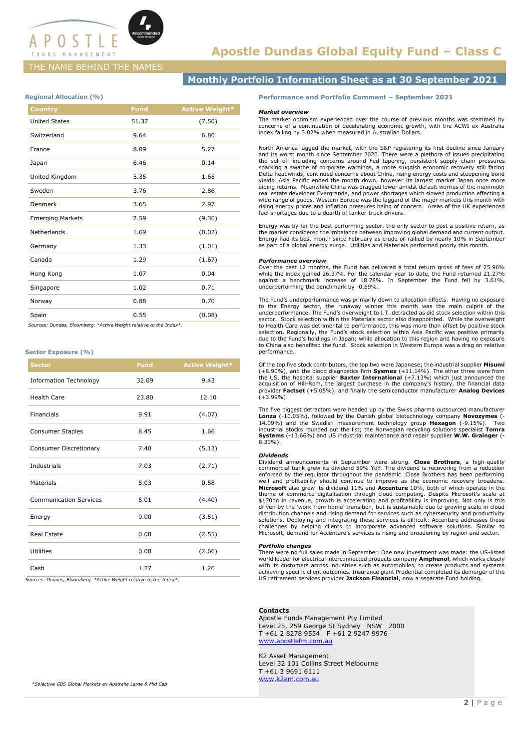

# **Apostle Dundas Global Equity Fund – Class C**

# THE NAME BEHIND THE NAMES

# **Monthly Portfolio Information Sheet as at 30 September 2021**

### **Regional Allocation (%)**

| <b>Country</b>          | <b>Fund</b> | <b>Active Weight*</b> |
|-------------------------|-------------|-----------------------|
| <b>United States</b>    | 51.37       | (7.50)                |
| Switzerland             | 9.64        | 6.80                  |
| France                  | 8.09        | 5.27                  |
| Japan                   | 6.46        | 0.14                  |
| United Kingdom          | 5.35        | 1.65                  |
| Sweden                  | 3.76        | 2.86                  |
| Denmark                 | 3.65        | 2.97                  |
| <b>Emerging Markets</b> | 2.59        | (9.30)                |
| Netherlands             | 1.69        | (0.02)                |
| Germany                 | 1.33        | (1.01)                |
| Canada                  | 1.29        | (1.67)                |
| Hong Kong               | 1.07        | 0.04                  |
| Singapore               | 1.02        | 0.71                  |
| Norway                  | 0.88        | 0.70                  |
| Spain                   | 0.55        | (0.08)                |

 *Sources: Dundas, Bloomberg. \*Active Weight relative to the Index\*.*

### **Sector Exposure (%)**

| <b>Sector</b>                 | <b>Fund</b> | <b>Active Weight*</b> |
|-------------------------------|-------------|-----------------------|
| <b>Information Technology</b> | 32.09       | 9.43                  |
| <b>Health Care</b>            | 23.80       | 12.10                 |
| Financials                    | 9.91        | (4.07)                |
| <b>Consumer Staples</b>       | 8.45        | 1.66                  |
| <b>Consumer Discretionary</b> | 7.40        | (5.13)                |
| <b>Industrials</b>            | 7.03        | (2.71)                |
| <b>Materials</b>              | 5.03        | 0.58                  |
| <b>Communication Services</b> | 5.01        | (4.40)                |
| Energy                        | 0.00        | (3.51)                |
| Real Estate                   | 0.00        | (2.55)                |
| Utilities                     | 0.00        | (2.66)                |
| Cash                          | 1.27        | 1.26                  |

*Sources: Dundas, Bloomberg. \*Active Weight relative to the Index\*.*

### **Performance and Portfolio Comment – September 2021**

### *Market overview*

The market optimism experienced over the course of previous months was stemmed by concerns of a continuation of decelerating economic growth, with the ACWI ex Australia index falling by 3.02% when measured in Australian Dollars.

North America lagged the market, with the S&P registering its first decline since January and its worst month since September 2020. There were a plethora of issues precipitating<br>the sell-off including concerns around Fed tapering, persistent supply chain pressures<br>sparking a swathe of corporate warnings, a more Delta headwinds, continued concerns about China, rising energy costs and steepening bond yields. Asia Pacific ended the month down, however its largest market Japan once more aiding returns. Meanwhile China was dragged lower amidst default worries of the mammoth real estate developer Evergrande, and power shortages which slowed production effecting a wide range of goods. Western Europe was the laggard of the major markets this month with rising energy prices and inflation pressures being of concern. Areas of the UK experienced fuel shortages due to a dearth of tanker-truck drivers.

Energy was by far the best performing sector, the only sector to post a positive return, as the market considered the imbalance between improving global demand and current output. Energy had its best month since February as crude oil rallied by nearly 10% in September as part of a global energy surge. Utilities and Materials performed poorly this month.

#### *Performance overview*

Over the past 12 months, the Fund has delivered a total return gross of fees of 25.96% while the index gained 26.37%. For the calendar year to date, the Fund returned 21.27% against a benchmark increase of 18.78%. In September the Fund fell by 3.61%, underperforming the benchmark by -0.59%.

The Fund's underperformance was primarily down to allocation effects. Having no exposure to the Energy sector, the runaway winner this month was the main culprit of the underperformance. The Fund's overweight to I.T. detracted as did stock selection within this sector. Stock selection within the Materials sector also disappointed. While the overweight to Health Care was detrimental to performance, this was more than offset by positive stock selection. Regionally, the Fund's stock selection within Asia Pacific was positive primarily due to the Fund's holdings in Japan; while allocation to this region and having no exposure to China also benefited the fund. Stock selection in Western Europe was a drag on relative performance.

Of the top five stock contributors, the top two were Japanese; the industrial supplier **Misumi**  (+8.90%), and the blood diagnostics firm **Sysmex** (+11.14%). The other three were from the US, the hospital supplier **Baxter International** (+7.13%) which just announced the acquisition of Hill-Rom, the largest purchase in the company's history, the financial data provider **Factset** (+5.05%), and finally the semiconductor manufacturer **Analog Devices**  $(+3.99\%)$ .

The five biggest detractors were headed up by the Swiss pharma outsourced manufacturer Lonza (-10.05%), followed by the Danish global biotechnology company Novozymes (-<br>14.09%) and the Swedish measurement technology group Hexagon (-9.15%). Two<br>industrial stocks rounded out the list; the Norwegian recycling s **Systems** (-13.66%) and US industrial maintenance and repair supplier **W.W. Grainger** (- 8.30%).

#### *Dividends*

Dividend announcements in September were strong. **Close Brothers**, a high-quality<br>commercial bank grew its dividend 50% YoY. The dividend is recovering from a reduction<br>enforced by the regulator throughout the pandemic. Cl well and profitability should continue to improve as the economic recovery broadens. **Microsoft** also grew its dividend 11% and **Accenture** 10%, both of which operate in the theme of commerce digitalisation through cloud computing. Despite Microsoft's scale at \$170bn in revenue, growth is accelerating and profitability is improving. Not only is this driven by the 'work from home' transition, but is sustainable due to growing scale in cloud distribution channels and rising demand for services such as cybersecurity and productivity<br>solutions. Deploying and integrating these services is difficult; Accenture addresses these<br>challenges by helping clients to incor

### *Portfolio changes*

There were no full sales made in September. One new investment was made: the US-listed world leader for electrical interconnected products company **Amphenol**, which works closely with its customers across industries such as automobiles, to create products and systems achieving specific client outcomes. Insurance giant Prudential completed its demerger of the US retirement services provider **Jackson Financial**, now a separate Fund holding.

### **Contacts**

Apostle Funds Management Pty Limited Level 25, 259 George St Sydney NSW 2000 T +61 2 8278 9554 F +61 2 9247 9976 [www.apostlefm.com.au](http://www.apostlefm.com.au/)

K2 Asset Management Level 32 101 Collins Street Melbourne T +61 3 9691 6111 [www.k2am.com.au](http://www.k2am.com.au/)